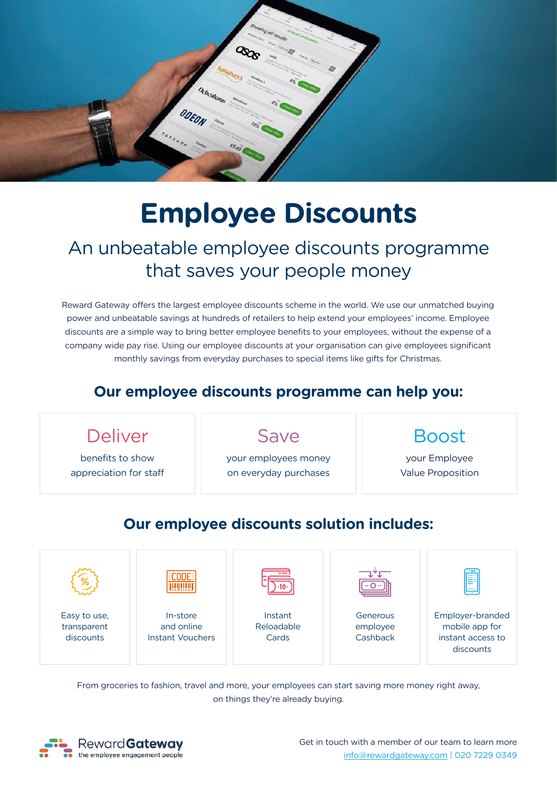

# **Employee Discounts**

## An unbeatable employee discounts programme that saves your people money

Reward Gateway offers the largest employee discounts scheme in the world. We use our unmatched buying power and unbeatable savings at hundreds of retailers to help extend your employees' income. Employee discounts are a simple way to bring better employee benefits to your employees, without the expense of a company wide pay rise. Using our employee discounts at your organisation can give employees significant monthly savings from everyday purchases to special items like gifts for Christmas.

#### **Our employee discounts programme can help you:**



Easy to use, transparent discounts

In-store and online Instant Vouchers

Instant Reloadable Cards

Generous employee **Cashback**  Employer-branded mobile app for instant access to discounts

From groceries to fashion, travel and more, your employees can start saving more money right away, on things they're already buying.